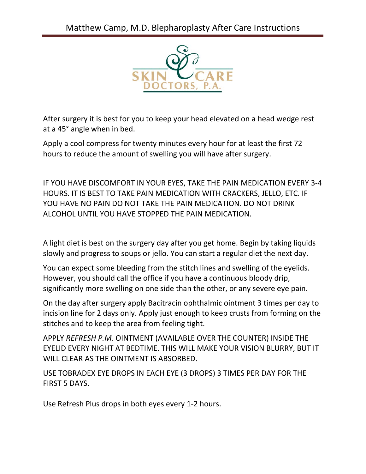

After surgery it is best for you to keep your head elevated on a head wedge rest at a 45° angle when in bed.

Apply a cool compress for twenty minutes every hour for at least the first 72 hours to reduce the amount of swelling you will have after surgery.

IF YOU HAVE DISCOMFORT IN YOUR EYES, TAKE THE PAIN MEDICATION EVERY 3-4 HOURS. IT IS BEST TO TAKE PAIN MEDICATION WITH CRACKERS, JELLO, ETC. IF YOU HAVE NO PAIN DO NOT TAKE THE PAIN MEDICATION. DO NOT DRINK ALCOHOL UNTIL YOU HAVE STOPPED THE PAIN MEDICATION.

A light diet is best on the surgery day after you get home. Begin by taking liquids slowly and progress to soups or jello. You can start a regular diet the next day.

You can expect some bleeding from the stitch lines and swelling of the eyelids. However, you should call the office if you have a continuous bloody drip, significantly more swelling on one side than the other, or any severe eye pain.

On the day after surgery apply Bacitracin ophthalmic ointment 3 times per day to incision line for 2 days only. Apply just enough to keep crusts from forming on the stitches and to keep the area from feeling tight.

APPLY *REFRESH P.M.* OINTMENT (AVAILABLE OVER THE COUNTER) INSIDE THE EYELID EVERY NIGHT AT BEDTIME. THIS WILL MAKE YOUR VISION BLURRY, BUT IT WILL CLEAR AS THE OINTMENT IS ABSORBED.

USE TOBRADEX EYE DROPS IN EACH EYE (3 DROPS) 3 TIMES PER DAY FOR THE FIRST 5 DAYS.

Use Refresh Plus drops in both eyes every 1-2 hours.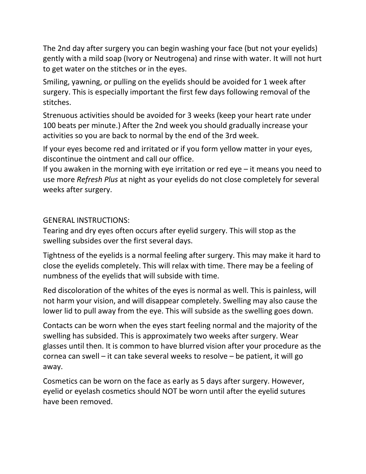The 2nd day after surgery you can begin washing your face (but not your eyelids) gently with a mild soap (Ivory or Neutrogena) and rinse with water. It will not hurt to get water on the stitches or in the eyes.

Smiling, yawning, or pulling on the eyelids should be avoided for 1 week after surgery. This is especially important the first few days following removal of the stitches.

Strenuous activities should be avoided for 3 weeks (keep your heart rate under 100 beats per minute.) After the 2nd week you should gradually increase your activities so you are back to normal by the end of the 3rd week.

If your eyes become red and irritated or if you form yellow matter in your eyes, discontinue the ointment and call our office.

If you awaken in the morning with eye irritation or red eye – it means you need to use more *Refresh Plus* at night as your eyelids do not close completely for several weeks after surgery.

## GENERAL INSTRUCTIONS:

Tearing and dry eyes often occurs after eyelid surgery. This will stop as the swelling subsides over the first several days.

Tightness of the eyelids is a normal feeling after surgery. This may make it hard to close the eyelids completely. This will relax with time. There may be a feeling of numbness of the eyelids that will subside with time.

Red discoloration of the whites of the eyes is normal as well. This is painless, will not harm your vision, and will disappear completely. Swelling may also cause the lower lid to pull away from the eye. This will subside as the swelling goes down.

Contacts can be worn when the eyes start feeling normal and the majority of the swelling has subsided. This is approximately two weeks after surgery. Wear glasses until then. It is common to have blurred vision after your procedure as the cornea can swell – it can take several weeks to resolve – be patient, it will go away.

Cosmetics can be worn on the face as early as 5 days after surgery. However, eyelid or eyelash cosmetics should NOT be worn until after the eyelid sutures have been removed.